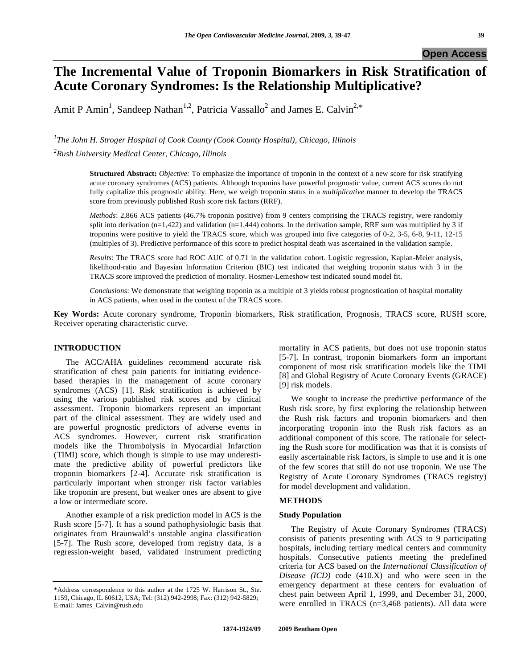# **The Incremental Value of Troponin Biomarkers in Risk Stratification of Acute Coronary Syndromes: Is the Relationship Multiplicative?**

Amit P Amin<sup>1</sup>, Sandeep Nathan<sup>1,2</sup>, Patricia Vassallo<sup>2</sup> and James E. Calvin<sup>2,\*</sup>

*1 The John H. Stroger Hospital of Cook County (Cook County Hospital), Chicago, Illinois 2 Rush University Medical Center, Chicago, Illinois* 

> **Structured Abstract:** *Objective:* To emphasize the importance of troponin in the context of a new score for risk stratifying acute coronary syndromes (ACS) patients. Although troponins have powerful prognostic value, current ACS scores do not fully capitalize this prognostic ability. Here, we weigh troponin status in a *multiplicative* manner to develop the TRACS score from previously published Rush score risk factors (RRF).

> *Methods*: 2,866 ACS patients (46.7% troponin positive) from 9 centers comprising the TRACS registry, were randomly split into derivation  $(n=1,422)$  and validation  $(n=1,444)$  cohorts. In the derivation sample, RRF sum was multiplied by 3 if troponins were positive to yield the TRACS score, which was grouped into five categories of 0-2, 3-5, 6-8, 9-11, 12-15 (multiples of 3). Predictive performance of this score to predict hospital death was ascertained in the validation sample.

> *Results*: The TRACS score had ROC AUC of 0.71 in the validation cohort. Logistic regression, Kaplan-Meier analysis, likelihood-ratio and Bayesian Information Criterion (BIC) test indicated that weighing troponin status with 3 in the TRACS score improved the prediction of mortality. Hosmer-Lemeshow test indicated sound model fit.

> *Conclusions*: We demonstrate that weighing troponin as a multiple of 3 yields robust prognostication of hospital mortality in ACS patients, when used in the context of the TRACS score.

**Key Words:** Acute coronary syndrome, Troponin biomarkers, Risk stratification, Prognosis, TRACS score, RUSH score, Receiver operating characteristic curve.

### **INTRODUCTION**

 The ACC/AHA guidelines recommend accurate risk stratification of chest pain patients for initiating evidencebased therapies in the management of acute coronary syndromes (ACS) [1]. Risk stratification is achieved by using the various published risk scores and by clinical assessment. Troponin biomarkers represent an important part of the clinical assessment. They are widely used and are powerful prognostic predictors of adverse events in ACS syndromes. However, current risk stratification models like the Thrombolysis in Myocardial Infarction (TIMI) score, which though is simple to use may underestimate the predictive ability of powerful predictors like troponin biomarkers [2-4]. Accurate risk stratification is particularly important when stronger risk factor variables like troponin are present, but weaker ones are absent to give a low or intermediate score.

 Another example of a risk prediction model in ACS is the Rush score [5-7]. It has a sound pathophysiologic basis that originates from Braunwald's unstable angina classification [5-7]. The Rush score, developed from registry data, is a regression-weight based, validated instrument predicting

mortality in ACS patients, but does not use troponin status [5-7]. In contrast, troponin biomarkers form an important component of most risk stratification models like the TIMI [8] and Global Registry of Acute Coronary Events (GRACE) [9] risk models.

 We sought to increase the predictive performance of the Rush risk score, by first exploring the relationship between the Rush risk factors and troponin biomarkers and then incorporating troponin into the Rush risk factors as an additional component of this score. The rationale for selecting the Rush score for modification was that it is consists of easily ascertainable risk factors, is simple to use and it is one of the few scores that still do not use troponin. We use The Registry of Acute Coronary Syndromes (TRACS registry) for model development and validation.

### **METHODS**

#### **Study Population**

 The Registry of Acute Coronary Syndromes (TRACS) consists of patients presenting with ACS to 9 participating hospitals, including tertiary medical centers and community hospitals. Consecutive patients meeting the predefined criteria for ACS based on the *International Classification of Disease (ICD)* code (410.X) and who were seen in the emergency department at these centers for evaluation of chest pain between April 1, 1999, and December 31, 2000, were enrolled in TRACS (n=3,468 patients). All data were

<sup>\*</sup>Address correspondence to this author at the 1725 W. Harrison St., Ste. 1159, Chicago, IL 60612, USA; Tel: (312) 942-2998; Fax: (312) 942-5829; E-mail: James\_Calvin@rush.edu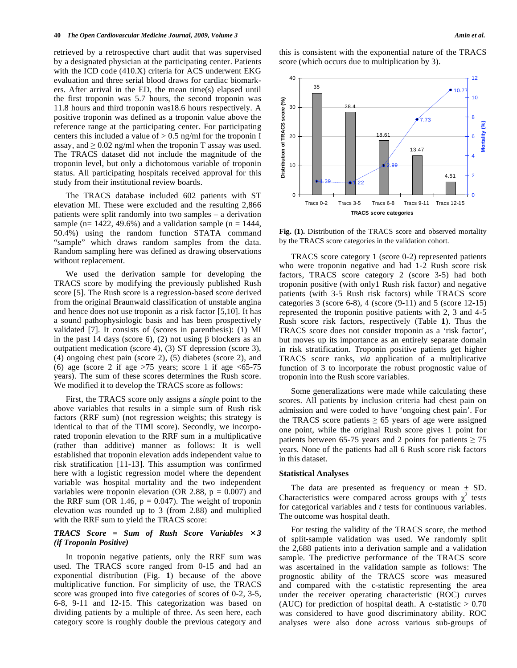retrieved by a retrospective chart audit that was supervised by a designated physician at the participating center. Patients with the ICD code (410.X) criteria for ACS underwent EKG evaluation and three serial blood draws for cardiac biomarkers. After arrival in the ED, the mean time(s) elapsed until the first troponin was 5.7 hours, the second troponin was 11.8 hours and third troponin was18.6 hours respectively. A positive troponin was defined as a troponin value above the reference range at the participating center. For participating centers this included a value of  $> 0.5$  ng/ml for the troponin I assay, and  $\geq 0.02$  ng/ml when the troponin T assay was used. The TRACS dataset did not include the magnitude of the troponin level, but only a dichotomous variable of troponin status. All participating hospitals received approval for this study from their institutional review boards.

 The TRACS database included 602 patients with ST elevation MI. These were excluded and the resulting 2,866 patients were split randomly into two samples – a derivation sample (n= 1422, 49.6%) and a validation sample (n = 1444, 50.4%) using the random function STATA command "sample" which draws random samples from the data. Random sampling here was defined as drawing observations without replacement.

 We used the derivation sample for developing the TRACS score by modifying the previously published Rush score [5]. The Rush score is a regression-based score derived from the original Braunwald classification of unstable angina and hence does not use troponin as a risk factor [5,10]. It has a sound pathophysiologic basis and has been prospectively validated [7]. It consists of (scores in parenthesis): (1) MI in the past 14 days (score 6), (2) not using  $\beta$  blockers as an outpatient medication (score 4), (3) ST depression (score 3), (4) ongoing chest pain (score 2), (5) diabetes (score 2), and (6) age (score 2 if age  $>75$  years; score 1 if age  $< 65-75$ years). The sum of these scores determines the Rush score. We modified it to develop the TRACS score as follows:

 First, the TRACS score only assigns a *single* point to the above variables that results in a simple sum of Rush risk factors (RRF sum) (not regression weights; this strategy is identical to that of the TIMI score). Secondly, we incorporated troponin elevation to the RRF sum in a multiplicative (rather than additive) manner as follows: It is well established that troponin elevation adds independent value to risk stratification [11-13]. This assumption was confirmed here with a logistic regression model where the dependent variable was hospital mortality and the two independent variables were troponin elevation (OR 2.88,  $p = 0.007$ ) and the RRF sum (OR 1.46,  $p = 0.047$ ). The weight of troponin elevation was rounded up to 3 (from 2.88) and multiplied with the RRF sum to yield the TRACS score:

#### *TRACS Score = Sum of Rush Score Variables 3 (if Troponin Positive)*

 In troponin negative patients, only the RRF sum was used. The TRACS score ranged from 0-15 and had an exponential distribution (Fig. **1**) because of the above multiplicative function. For simplicity of use, the TRACS score was grouped into five categories of scores of 0-2, 3-5, 6-8, 9-11 and 12-15. This categorization was based on dividing patients by a multiple of three. As seen here, each category score is roughly double the previous category and this is consistent with the exponential nature of the TRACS score (which occurs due to multiplication by 3).



**Fig. (1).** Distribution of the TRACS score and observed mortality by the TRACS score categories in the validation cohort.

 TRACS score category 1 (score 0-2) represented patients who were troponin negative and had 1-2 Rush score risk factors, TRACS score category 2 (score 3-5) had both troponin positive (with only1 Rush risk factor) and negative patients (with 3-5 Rush risk factors) while TRACS score categories 3 (score 6-8), 4 (score (9-11) and 5 (score 12-15) represented the troponin positive patients with 2, 3 and 4-5 Rush score risk factors, respectively (Table **1**). Thus the TRACS score does not consider troponin as a 'risk factor', but moves up its importance as an entirely separate domain in risk stratification. Troponin positive patients get higher TRACS score ranks, *via* application of a multiplicative function of 3 to incorporate the robust prognostic value of troponin into the Rush score variables.

 Some generalizations were made while calculating these scores. All patients by inclusion criteria had chest pain on admission and were coded to have 'ongoing chest pain'. For the TRACS score patients  $\geq 65$  years of age were assigned one point, while the original Rush score gives 1 point for patients between 65-75 years and 2 points for patients  $\geq$  75 years. None of the patients had all 6 Rush score risk factors in this dataset.

#### **Statistical Analyses**

The data are presented as frequency or mean  $\pm$  SD. Characteristics were compared across groups with  $\chi^2$  tests for categorical variables and *t* tests for continuous variables. The outcome was hospital death.

 For testing the validity of the TRACS score, the method of split-sample validation was used. We randomly split the 2,688 patients into a derivation sample and a validation sample. The predictive performance of the TRACS score was ascertained in the validation sample as follows: The prognostic ability of the TRACS score was measured and compared with the c-statistic representing the area under the receiver operating characteristic (ROC) curves (AUC) for prediction of hospital death. A c-statistic  $> 0.70$ was considered to have good discriminatory ability. ROC analyses were also done across various sub-groups of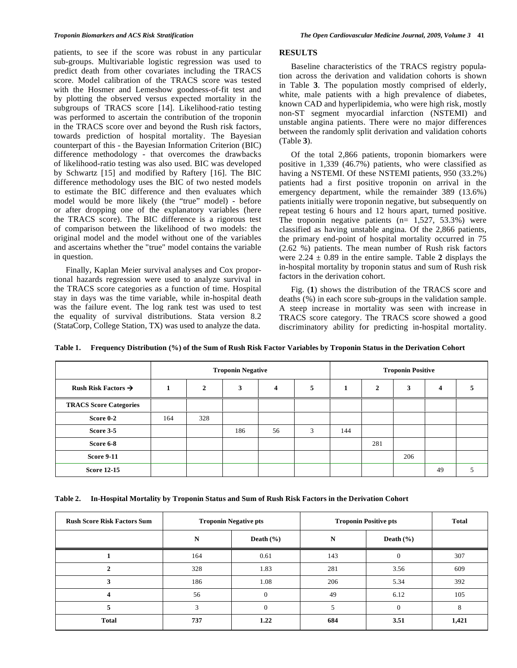patients, to see if the score was robust in any particular sub-groups. Multivariable logistic regression was used to predict death from other covariates including the TRACS score. Model calibration of the TRACS score was tested with the Hosmer and Lemeshow goodness-of-fit test and by plotting the observed versus expected mortality in the subgroups of TRACS score [14]. Likelihood-ratio testing was performed to ascertain the contribution of the troponin in the TRACS score over and beyond the Rush risk factors, towards prediction of hospital mortality. The Bayesian counterpart of this - the Bayesian Information Criterion (BIC) difference methodology - that overcomes the drawbacks of likelihood-ratio testing was also used. BIC was developed by Schwartz [15] and modified by Raftery [16]. The BIC difference methodology uses the BIC of two nested models to estimate the BIC difference and then evaluates which model would be more likely (the "true" model) - before or after dropping one of the explanatory variables (here the TRACS score). The BIC difference is a rigorous test of comparison between the likelihood of two models: the original model and the model without one of the variables and ascertains whether the "true" model contains the variable in question.

 Finally, Kaplan Meier survival analyses and Cox proportional hazards regression were used to analyze survival in the TRACS score categories as a function of time. Hospital stay in days was the time variable, while in-hospital death was the failure event. The log rank test was used to test the equality of survival distributions. Stata version 8.2 (StataCorp, College Station, TX) was used to analyze the data.

### **RESULTS**

 Baseline characteristics of the TRACS registry population across the derivation and validation cohorts is shown in Table **3**. The population mostly comprised of elderly, white, male patients with a high prevalence of diabetes, known CAD and hyperlipidemia, who were high risk, mostly non-ST segment myocardial infarction (NSTEMI) and unstable angina patients. There were no major differences between the randomly split derivation and validation cohorts (Table **3**).

 Of the total 2,866 patients, troponin biomarkers were positive in 1,339 (46.7%) patients, who were classified as having a NSTEMI. Of these NSTEMI patients, 950 (33.2%) patients had a first positive troponin on arrival in the emergency department, while the remainder 389 (13.6%) patients initially were troponin negative, but subsequently on repeat testing 6 hours and 12 hours apart, turned positive. The troponin negative patients  $(n= 1.527, 53.3%)$  were classified as having unstable angina. Of the 2,866 patients, the primary end-point of hospital mortality occurred in 75 (2.62 %) patients. The mean number of Rush risk factors were  $2.24 \pm 0.89$  in the entire sample. Table 2 displays the in-hospital mortality by troponin status and sum of Rush risk factors in the derivation cohort.

 Fig. (**1**) shows the distribution of the TRACS score and deaths (%) in each score sub-groups in the validation sample. A steep increase in mortality was seen with increase in TRACS score category. The TRACS score showed a good discriminatory ability for predicting in-hospital mortality.

|                                 |     | <b>Troponin Negative</b> |     |    | <b>Troponin Positive</b> |     |                |     |    |  |
|---------------------------------|-----|--------------------------|-----|----|--------------------------|-----|----------------|-----|----|--|
| Rush Risk Factors $\rightarrow$ |     | $\mathbf{2}$             | 3   | 4  | 5                        |     | $\overline{2}$ | 3   | 4  |  |
| <b>TRACS Score Categories</b>   |     |                          |     |    |                          |     |                |     |    |  |
| Score 0-2                       | 164 | 328                      |     |    |                          |     |                |     |    |  |
| Score 3-5                       |     |                          | 186 | 56 | 3                        | 144 |                |     |    |  |
| Score 6-8                       |     |                          |     |    |                          |     | 281            |     |    |  |
| <b>Score 9-11</b>               |     |                          |     |    |                          |     |                | 206 |    |  |
| <b>Score 12-15</b>              |     |                          |     |    |                          |     |                |     | 49 |  |

**Table 1. Frequency Distribution (%) of the Sum of Rush Risk Factor Variables by Troponin Status in the Derivation Cohort** 

**Table 2. In-Hospital Mortality by Troponin Status and Sum of Rush Risk Factors in the Derivation Cohort** 

| <b>Rush Score Risk Factors Sum</b> |           | <b>Troponin Negative pts</b> | <b>Troponin Positive pts</b> | <b>Total</b>  |       |
|------------------------------------|-----------|------------------------------|------------------------------|---------------|-------|
|                                    | ${\bf N}$ | Death $(\% )$                | N                            | Death $(\% )$ |       |
|                                    | 164       | 0.61                         | 143                          | $\Omega$      | 307   |
| 2                                  | 328       | 1.83                         | 281                          | 3.56          | 609   |
|                                    | 186       | 1.08                         | 206                          | 5.34          | 392   |
| 4                                  | 56        | $\Omega$                     | 49                           | 6.12          | 105   |
| 5                                  | 3         | $\overline{0}$               |                              | $\Omega$      | 8     |
| <b>Total</b>                       | 737       | 1.22                         | 684                          | 3.51          | 1,421 |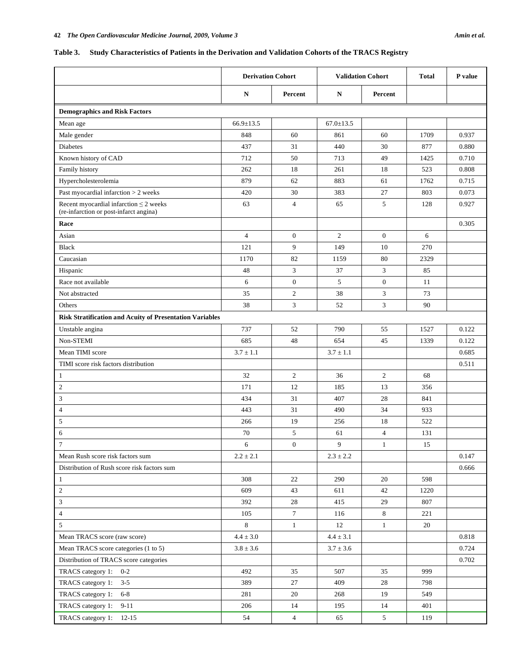## **Table 3. Study Characteristics of Patients in the Derivation and Validation Cohorts of the TRACS Registry**

|                                                                                       | <b>Derivation Cohort</b> |                  | <b>Validation Cohort</b> |                 | Total | P value |
|---------------------------------------------------------------------------------------|--------------------------|------------------|--------------------------|-----------------|-------|---------|
|                                                                                       | N                        | Percent          | N                        | Percent         |       |         |
| <b>Demographics and Risk Factors</b>                                                  |                          |                  |                          |                 |       |         |
| Mean age                                                                              | $66.9 \pm 13.5$          |                  | $67.0 \pm 13.5$          |                 |       |         |
| Male gender                                                                           | 848                      | 60               | 861                      | 60              | 1709  | 0.937   |
| <b>Diabetes</b>                                                                       | 437                      | 31               | 440                      | 30              | 877   | 0.880   |
| Known history of CAD                                                                  | 712                      | 50               | 713                      | 49              | 1425  | 0.710   |
| Family history                                                                        | 262                      | 18               | 261                      | 18              | 523   | 0.808   |
| Hypercholesterolemia                                                                  | 879                      | 62               | 883                      | 61              | 1762  | 0.715   |
| Past myocardial infarction $> 2$ weeks                                                | 420                      | 30               | 383                      | 27              | 803   | 0.073   |
| Recent myocardial infarction $\leq$ 2 weeks<br>(re-infarction or post-infarct angina) | 63                       | $\overline{4}$   | 65                       | 5               | 128   | 0.927   |
| Race                                                                                  |                          |                  |                          |                 |       | 0.305   |
| Asian                                                                                 | $\overline{4}$           | $\overline{0}$   | 2                        | $\mathbf{0}$    | 6     |         |
| <b>Black</b>                                                                          | 121                      | 9                | 149                      | 10              | 270   |         |
| Caucasian                                                                             | 1170                     | 82               | 1159                     | 80              | 2329  |         |
| Hispanic                                                                              | 48                       | 3                | 37                       | 3               | 85    |         |
| Race not available                                                                    | 6                        | $\mathbf{0}$     | 5                        | $\overline{0}$  | 11    |         |
| Not abstracted                                                                        | 35                       | $\mathfrak{2}$   | 38                       | 3               | 73    |         |
| Others                                                                                | 38                       | 3                | 52                       | 3               | 90    |         |
| <b>Risk Stratification and Acuity of Presentation Variables</b>                       |                          |                  |                          |                 |       |         |
| Unstable angina                                                                       | 737                      | 52               | 790                      | 55              | 1527  | 0.122   |
| Non-STEMI                                                                             | 685                      | 48               | 654                      | 45              | 1339  | 0.122   |
| Mean TIMI score                                                                       | $3.7 \pm 1.1$            |                  | $3.7 \pm 1.1$            |                 |       | 0.685   |
| TIMI score risk factors distribution                                                  |                          |                  |                          |                 |       | 0.511   |
| $\mathbf{1}$                                                                          | 32                       | $\overline{c}$   | 36                       | $\overline{c}$  | 68    |         |
| $\overline{2}$                                                                        | 171                      | 12               | 185                      | 13              | 356   |         |
| 3                                                                                     | 434                      | 31               | 407                      | 28              | 841   |         |
| 4                                                                                     | 443                      | 31               | 490                      | 34              | 933   |         |
| 5                                                                                     | 266                      | 19               | 256                      | 18              | 522   |         |
| 6                                                                                     | 70                       | 5                | 61                       | $\overline{4}$  | 131   |         |
| $\overline{7}$                                                                        | 6                        | $\boldsymbol{0}$ | 9 <sup>7</sup>           | $\mathbf{1}$    | 15    |         |
| Mean Rush score risk factors sum                                                      | $2.2 \pm 2.1$            |                  | $2.3 \pm 2.2$            |                 |       | 0.147   |
| Distribution of Rush score risk factors sum                                           |                          |                  |                          |                 |       | 0.666   |
| $\mathbf{1}$                                                                          | 308                      | 22               | 290                      | 20              | 598   |         |
| $\sqrt{2}$                                                                            | 609                      | 43               | 611                      | 42              | 1220  |         |
| 3                                                                                     | 392                      | 28               | 415                      | 29              | 807   |         |
| $\overline{4}$                                                                        | 105                      | $\tau$           | 116                      | 8               | 221   |         |
| 5                                                                                     | 8                        | $\mathbf{1}$     | 12                       | $\mathbf{1}$    | 20    |         |
| Mean TRACS score (raw score)                                                          | $4.4 \pm 3.0$            |                  | $4.4 \pm 3.1$            |                 |       | 0.818   |
| Mean TRACS score categories (1 to 5)                                                  | $3.8 \pm 3.6$            |                  | $3.7 \pm 3.6$            |                 |       | 0.724   |
| Distribution of TRACS score categories                                                |                          |                  |                          |                 |       | 0.702   |
| TRACS category 1: 0-2                                                                 | 492                      | 35               | 507                      | 35              | 999   |         |
| TRACS category 1: 3-5                                                                 | 389                      | 27               | 409                      | 28              | 798   |         |
| TRACS category 1: 6-8                                                                 | 281                      | 20               | 268                      | 19              | 549   |         |
| TRACS category 1: 9-11                                                                | 206                      | 14               | 195                      | 14              | 401   |         |
| TRACS category 1: 12-15                                                               | 54                       | $\overline{4}$   | 65                       | $5\overline{)}$ | 119   |         |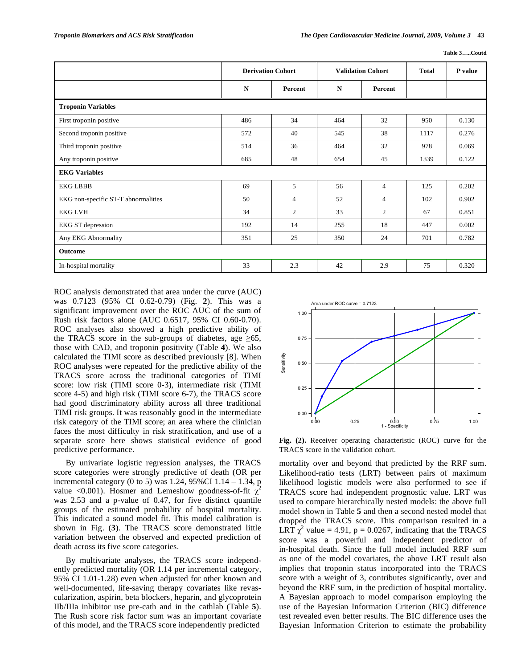**Table 3…..Coutd** 

|                                     | <b>Derivation Cohort</b> |                | <b>Validation Cohort</b> |                | <b>Total</b> | P value |
|-------------------------------------|--------------------------|----------------|--------------------------|----------------|--------------|---------|
|                                     | $\mathbf N$              | Percent        | $\mathbf N$              | Percent        |              |         |
| <b>Troponin Variables</b>           |                          |                |                          |                |              |         |
| First troponin positive             | 486                      | 34             | 464                      | 32             | 950          | 0.130   |
| Second troponin positive            | 572                      | 40             | 545                      | 38             | 1117         | 0.276   |
| Third troponin positive             | 514                      | 36             | 464                      | 32             | 978          | 0.069   |
| Any troponin positive               | 685                      | 48             | 654                      | 45             | 1339         | 0.122   |
| <b>EKG Variables</b>                |                          |                |                          |                |              |         |
| <b>EKG LBBB</b>                     | 69                       | 5              | 56                       | $\overline{4}$ | 125          | 0.202   |
| EKG non-specific ST-T abnormalities | 50                       | $\overline{4}$ | 52                       | $\overline{4}$ | 102          | 0.902   |
| <b>EKG LVH</b>                      | 34                       | $\overline{2}$ | 33                       | 2              | 67           | 0.851   |
| EKG ST depression                   | 192                      | 14             | 255                      | 18             | 447          | 0.002   |
| Any EKG Abnormality                 | 351                      | 25             | 350                      | 24             | 701          | 0.782   |
| Outcome                             |                          |                |                          |                |              |         |
| In-hospital mortality               | 33                       | 2.3            | 42                       | 2.9            | 75           | 0.320   |

ROC analysis demonstrated that area under the curve (AUC) was 0.7123 (95% CI 0.62-0.79) (Fig. **2**). This was a significant improvement over the ROC AUC of the sum of Rush risk factors alone (AUC 0.6517, 95% CI 0.60-0.70). ROC analyses also showed a high predictive ability of the TRACS score in the sub-groups of diabetes, age  $\geq 65$ , those with CAD, and troponin positivity (Table **4**). We also calculated the TIMI score as described previously [8]. When ROC analyses were repeated for the predictive ability of the TRACS score across the traditional categories of TIMI score: low risk (TIMI score 0-3), intermediate risk (TIMI score 4-5) and high risk (TIMI score 6-7), the TRACS score had good discriminatory ability across all three traditional TIMI risk groups. It was reasonably good in the intermediate risk category of the TIMI score; an area where the clinician faces the most difficulty in risk stratification, and use of a separate score here shows statistical evidence of good predictive performance.

 By univariate logistic regression analyses, the TRACS score categories were strongly predictive of death (OR per incremental category (0 to 5) was 1.24, 95%CI 1.14 – 1.34, p value <0.001). Hosmer and Lemeshow goodness-of-fit  $\chi^2$ was 2.53 and a p-value of 0.47, for five distinct quantile groups of the estimated probability of hospital mortality. This indicated a sound model fit. This model calibration is shown in Fig. (**3**). The TRACS score demonstrated little variation between the observed and expected prediction of death across its five score categories.

 By multivariate analyses, the TRACS score independently predicted mortality (OR 1.14 per incremental category, 95% CI 1.01-1.28) even when adjusted for other known and well-documented, life-saving therapy covariates like revascularization, aspirin, beta blockers, heparin, and glycoprotein IIb/IIIa inhibitor use pre-cath and in the cathlab (Table **5**). The Rush score risk factor sum was an important covariate of this model, and the TRACS score independently predicted



**Fig. (2).** Receiver operating characteristic (ROC) curve for the TRACS score in the validation cohort.

mortality over and beyond that predicted by the RRF sum. Likelihood-ratio tests (LRT) between pairs of maximum likelihood logistic models were also performed to see if TRACS score had independent prognostic value. LRT was used to compare hierarchically nested models: the above full model shown in Table **5** and then a second nested model that dropped the TRACS score. This comparison resulted in a LRT  $\chi^2$  value = 4.91, p = 0.0267, indicating that the TRACS score was a powerful and independent predictor of in-hospital death. Since the full model included RRF sum as one of the model covariates, the above LRT result also implies that troponin status incorporated into the TRACS score with a weight of 3, contributes significantly, over and beyond the RRF sum, in the prediction of hospital mortality. A Bayesian approach to model comparison employing the use of the Bayesian Information Criterion (BIC) difference test revealed even better results. The BIC difference uses the Bayesian Information Criterion to estimate the probability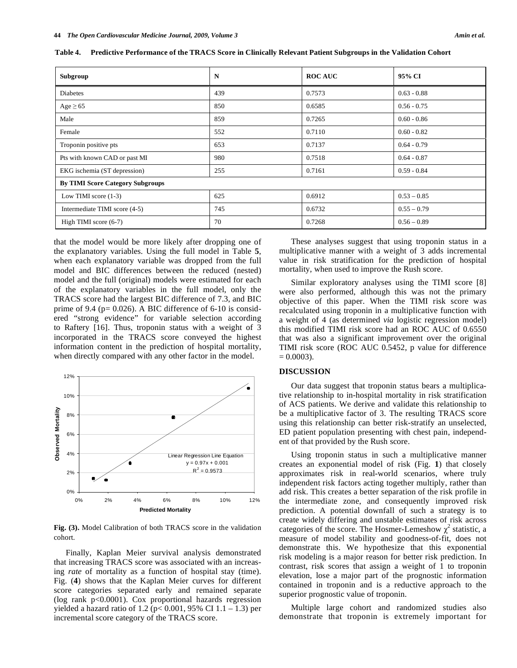| Subgroup                                | N   | <b>ROC AUC</b> | 95% CI        |  |
|-----------------------------------------|-----|----------------|---------------|--|
| <b>Diabetes</b>                         | 439 | 0.7573         | $0.63 - 0.88$ |  |
| $Age \geq 65$                           | 850 | 0.6585         | $0.56 - 0.75$ |  |
| Male                                    | 859 | 0.7265         | $0.60 - 0.86$ |  |
| Female                                  | 552 | 0.7110         | $0.60 - 0.82$ |  |
| Troponin positive pts                   | 653 | 0.7137         | $0.64 - 0.79$ |  |
| Pts with known CAD or past MI           | 980 | 0.7518         | $0.64 - 0.87$ |  |
| EKG ischemia (ST depression)            | 255 | 0.7161         | $0.59 - 0.84$ |  |
| <b>By TIMI Score Category Subgroups</b> |     |                |               |  |
| Low TIMI score $(1-3)$                  | 625 | 0.6912         | $0.53 - 0.85$ |  |
| Intermediate TIMI score (4-5)           | 745 | 0.6732         | $0.55 - 0.79$ |  |
| High TIMI score (6-7)                   | 70  | 0.7268         | $0.56 - 0.89$ |  |

**Table 4. Predictive Performance of the TRACS Score in Clinically Relevant Patient Subgroups in the Validation Cohort** 

that the model would be more likely after dropping one of the explanatory variables. Using the full model in Table **5**, when each explanatory variable was dropped from the full model and BIC differences between the reduced (nested) model and the full (original) models were estimated for each of the explanatory variables in the full model, only the TRACS score had the largest BIC difference of 7.3, and BIC prime of 9.4 ( $p = 0.026$ ). A BIC difference of 6-10 is considered "strong evidence" for variable selection according to Raftery [16]. Thus, troponin status with a weight of 3 incorporated in the TRACS score conveyed the highest information content in the prediction of hospital mortality, when directly compared with any other factor in the model.



**Fig. (3).** Model Calibration of both TRACS score in the validation cohort.

 Finally, Kaplan Meier survival analysis demonstrated that increasing TRACS score was associated with an increasing *rate* of mortality as a function of hospital stay (time). Fig. (**4**) shows that the Kaplan Meier curves for different score categories separated early and remained separate (log rank p<0.0001). Cox proportional hazards regression yielded a hazard ratio of 1.2 ( $p$  < 0.001, 95% CI 1.1 – 1.3) per incremental score category of the TRACS score.

 These analyses suggest that using troponin status in a multiplicative manner with a weight of 3 adds incremental value in risk stratification for the prediction of hospital mortality, when used to improve the Rush score.

 Similar exploratory analyses using the TIMI score [8] were also performed, although this was not the primary objective of this paper. When the TIMI risk score was recalculated using troponin in a multiplicative function with a weight of 4 (as determined *via* logistic regression model) this modified TIMI risk score had an ROC AUC of 0.6550 that was also a significant improvement over the original TIMI risk score (ROC AUC 0.5452, p value for difference  $= 0.0003$ ).

#### **DISCUSSION**

 Our data suggest that troponin status bears a multiplicative relationship to in-hospital mortality in risk stratification of ACS patients. We derive and validate this relationship to be a multiplicative factor of 3. The resulting TRACS score using this relationship can better risk-stratify an unselected, ED patient population presenting with chest pain, independent of that provided by the Rush score.

 Using troponin status in such a multiplicative manner creates an exponential model of risk (Fig. **1**) that closely approximates risk in real-world scenarios, where truly independent risk factors acting together multiply, rather than add risk. This creates a better separation of the risk profile in the intermediate zone, and consequently improved risk prediction. A potential downfall of such a strategy is to create widely differing and unstable estimates of risk across categories of the score. The Hosmer-Lemeshow  $\chi^2$  statistic, a measure of model stability and goodness-of-fit, does not demonstrate this. We hypothesize that this exponential risk modeling is a major reason for better risk prediction. In contrast, risk scores that assign a weight of 1 to troponin elevation, lose a major part of the prognostic information contained in troponin and is a reductive approach to the superior prognostic value of troponin.

 Multiple large cohort and randomized studies also demonstrate that troponin is extremely important for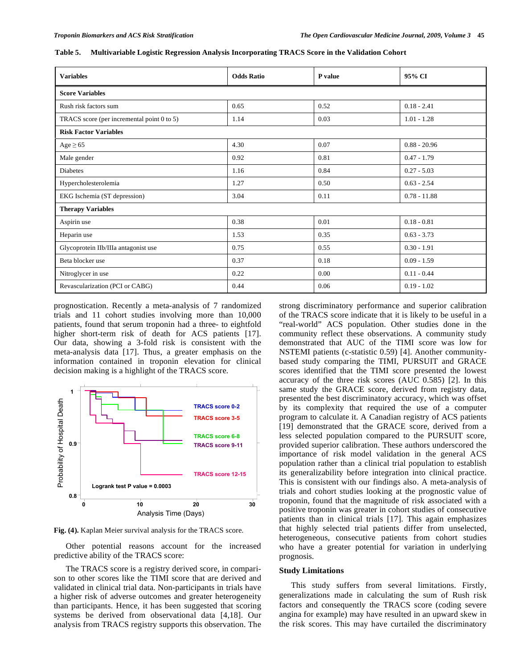| <b>Variables</b>                           | <b>Odds Ratio</b> | P value | 95% CI         |  |  |
|--------------------------------------------|-------------------|---------|----------------|--|--|
| <b>Score Variables</b>                     |                   |         |                |  |  |
| Rush risk factors sum                      | 0.65              | 0.52    | $0.18 - 2.41$  |  |  |
| TRACS score (per incremental point 0 to 5) | 1.14              | 0.03    | $1.01 - 1.28$  |  |  |
| <b>Risk Factor Variables</b>               |                   |         |                |  |  |
| $Age \geq 65$                              | 4.30              | 0.07    | $0.88 - 20.96$ |  |  |
| Male gender                                | 0.92              | 0.81    | $0.47 - 1.79$  |  |  |
| <b>Diabetes</b>                            | 1.16              | 0.84    | $0.27 - 5.03$  |  |  |
| Hypercholesterolemia                       | 1.27              | 0.50    | $0.63 - 2.54$  |  |  |
| EKG Ischemia (ST depression)               | 3.04              | 0.11    | $0.78 - 11.88$ |  |  |
| <b>Therapy Variables</b>                   |                   |         |                |  |  |
| Aspirin use                                | 0.38              | 0.01    | $0.18 - 0.81$  |  |  |
| Heparin use                                | 1.53              | 0.35    | $0.63 - 3.73$  |  |  |
| Glycoprotein IIb/IIIa antagonist use       | 0.75              | 0.55    | $0.30 - 1.91$  |  |  |
| Beta blocker use                           | 0.37              | 0.18    | $0.09 - 1.59$  |  |  |
| Nitroglycer in use                         | 0.22              | 0.00    | $0.11 - 0.44$  |  |  |
| Revascularization (PCI or CABG)            | 0.44              | 0.06    | $0.19 - 1.02$  |  |  |

**Table 5. Multivariable Logistic Regression Analysis Incorporating TRACS Score in the Validation Cohort** 

prognostication. Recently a meta-analysis of 7 randomized trials and 11 cohort studies involving more than 10,000 patients, found that serum troponin had a three- to eightfold higher short-term risk of death for ACS patients [17]. Our data, showing a 3-fold risk is consistent with the meta-analysis data [17]. Thus, a greater emphasis on the information contained in troponin elevation for clinical decision making is a highlight of the TRACS score.



**Fig. (4).** Kaplan Meier survival analysis for the TRACS score.

 Other potential reasons account for the increased predictive ability of the TRACS score:

 The TRACS score is a registry derived score, in comparison to other scores like the TIMI score that are derived and validated in clinical trial data. Non-participants in trials have a higher risk of adverse outcomes and greater heterogeneity than participants. Hence, it has been suggested that scoring systems be derived from observational data [4,18]. Our analysis from TRACS registry supports this observation. The

strong discriminatory performance and superior calibration of the TRACS score indicate that it is likely to be useful in a "real-world" ACS population. Other studies done in the community reflect these observations. A community study demonstrated that AUC of the TIMI score was low for NSTEMI patients (c-statistic 0.59) [4]. Another communitybased study comparing the TIMI, PURSUIT and GRACE scores identified that the TIMI score presented the lowest accuracy of the three risk scores (AUC 0.585) [2]. In this same study the GRACE score, derived from registry data, presented the best discriminatory accuracy, which was offset by its complexity that required the use of a computer program to calculate it. A Canadian registry of ACS patients [19] demonstrated that the GRACE score, derived from a less selected population compared to the PURSUIT score, provided superior calibration. These authors underscored the importance of risk model validation in the general ACS population rather than a clinical trial population to establish its generalizability before integration into clinical practice. This is consistent with our findings also. A meta-analysis of trials and cohort studies looking at the prognostic value of troponin, found that the magnitude of risk associated with a positive troponin was greater in cohort studies of consecutive patients than in clinical trials [17]. This again emphasizes that highly selected trial patients differ from unselected, heterogeneous, consecutive patients from cohort studies who have a greater potential for variation in underlying prognosis.

#### **Study Limitations**

 This study suffers from several limitations. Firstly, generalizations made in calculating the sum of Rush risk factors and consequently the TRACS score (coding severe angina for example) may have resulted in an upward skew in the risk scores. This may have curtailed the discriminatory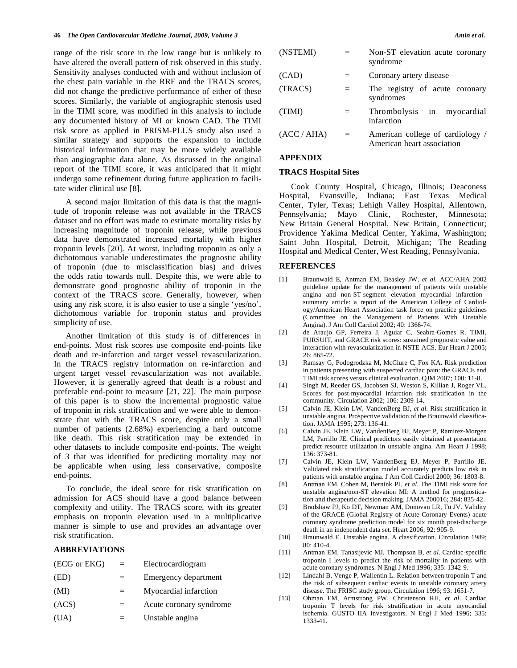range of the risk score in the low range but is unlikely to have altered the overall pattern of risk observed in this study. Sensitivity analyses conducted with and without inclusion of the chest pain variable in the RRF and the TRACS scores, did not change the predictive performance of either of these scores. Similarly, the variable of angiographic stenosis used in the TIMI score, was modified in this analysis to include any documented history of MI or known CAD. The TIMI risk score as applied in PRISM-PLUS study also used a similar strategy and supports the expansion to include historical information that may be more widely available than angiographic data alone. As discussed in the original report of the TIMI score, it was anticipated that it might undergo some refinement during future application to facilitate wider clinical use [8].

 A second major limitation of this data is that the magnitude of troponin release was not available in the TRACS dataset and no effort was made to estimate mortality risks by increasing magnitude of troponin release, while previous data have demonstrated increased mortality with higher troponin levels [20]. At worst, including troponin as only a dichotomous variable underestimates the prognostic ability of troponin (due to misclassification bias) and drives the odds ratio towards null. Despite this, we were able to demonstrate good prognostic ability of troponin in the context of the TRACS score. Generally, however, when using any risk score, it is also easier to use a single 'yes/no', dichotomous variable for troponin status and provides simplicity of use.

 Another limitation of this study is of differences in end-points. Most risk scores use composite end-points like death and re-infarction and target vessel revascularization. In the TRACS registry information on re-infarction and urgent target vessel revascularization was not available. However, it is generally agreed that death is a robust and preferable end-point to measure [21, 22]. The main purpose of this paper is to show the incremental prognostic value of troponin in risk stratification and we were able to demonstrate that with the TRACS score, despite only a small number of patients (2.68%) experiencing a hard outcome like death. This risk stratification may be extended in other datasets to include composite end-points. The weight of 3 that was identified for predicting mortality may not be applicable when using less conservative, composite end-points.

 To conclude, the ideal score for risk stratification on admission for ACS should have a good balance between complexity and utility. The TRACS score, with its greater emphasis on troponin elevation used in a multiplicative manner is simple to use and provides an advantage over risk stratification.

#### **ABBREVIATIONS**

| (ECG or EKG) | $=$ | Electrocardiogram       |
|--------------|-----|-------------------------|
| (ED)         | $=$ | Emergency department    |
| (MI)         |     | Myocardial infarction   |
| (ACS)        | =   | Acute coronary syndrome |
| (UA)         |     | Unstable angina         |

| (NSTEMI)  |     | Non-ST elevation acute coronary<br>syndrome                    |
|-----------|-----|----------------------------------------------------------------|
| (CAD)     |     | Coronary artery disease                                        |
| (TRACS)   | $=$ | The registry of acute coronary<br>syndromes                    |
| (TIMI)    |     | Thrombolysis in myocardial<br>infarction                       |
| (ACC/AHA) | $=$ | American college of cardiology /<br>American heart association |

### **APPENDIX**

#### **TRACS Hospital Sites**

 Cook County Hospital, Chicago, Illinois; Deaconess Hospital, Evansville, Indiana; East Texas Medical Center, Tyler, Texas; Lehigh Valley Hospital, Allentown, Pennsylvania; Mayo Clinic, Rochester, Minnesota; New Britain General Hospital, New Britain, Connecticut; Providence Yakima Medical Center, Yakima, Washington; Saint John Hospital, Detroit, Michigan; The Reading Hospital and Medical Center, West Reading, Pennsylvania.

#### **REFERENCES**

- [1] Braunwald E, Antman EM, Beasley JW, *et al*. ACC/AHA 2002 guideline update for the management of patients with unstable angina and non-ST-segment elevation myocardial infarction- summary article: a report of the American College of Cardiology/American Heart Association task force on practice guidelines (Committee on the Management of Patients With Unstable Angina). J Am Coll Cardiol 2002; 40: 1366-74.
- [2] de Araujo GP, Ferreira J, Aguiar C, Seabra-Gomes R. TIMI, PURSUIT, and GRACE risk scores: sustained prognostic value and interaction with revascularization in NSTE-ACS. Eur Heart J 2005;  $26: 865 - 72.$
- [3] Ramsay G, Podogrodzka M, McClure C, Fox KA. Risk prediction in patients presenting with suspected cardiac pain: the GRACE and TIMI risk scores versus clinical evaluation. QJM 2007; 100: 11-8.
- [4] Singh M, Reeder GS, Jacobsen SJ, Weston S, Killian J, Roger VL. Scores for post-myocardial infarction risk stratification in the community. Circulation 2002; 106: 2309-14.
- [5] Calvin JE, Klein LW, VandenBerg BJ, *et al*. Risk stratification in unstable angina. Prospective validation of the Braunwald classification. JAMA 1995; 273: 136-41.
- [6] Calvin JE, Klein LW, VandenBerg BJ, Meyer P, Ramirez-Morgen LM, Parrillo JE. Clinical predictors easily obtained at presentation predict resource utilization in unstable angina. Am Heart J 1998; 136: 373-81.
- [7] Calvin JE, Klein LW, VandenBerg EJ, Meyer P, Parrillo JE. Validated risk stratification model accurately predicts low risk in patients with unstable angina. J Am Coll Cardiol 2000; 36: 1803-8.
- [8] Antman EM, Cohen M, Bernink PJ, *et al*. The TIMI risk score for unstable angina/non-ST elevation MI: A method for prognostication and therapeutic decision making. JAMA 200016; 284: 835-42.
- [9] Bradshaw PJ, Ko DT, Newman AM, Donovan LR, Tu JV. Validity of the GRACE (Global Registry of Acute Coronary Events) acute coronary syndrome prediction model for six month post-discharge death in an independent data set. Heart 2006; 92: 905-9.
- [10] Braunwald E. Unstable angina. A classification. Circulation 1989; 80: 410-4.
- [11] Antman EM, Tanasijevic MJ, Thompson B, *et al*. Cardiac-specific troponin I levels to predict the risk of mortality in patients with acute coronary syndromes. N Engl J Med 1996; 335: 1342-9.
- [12] Lindahl B, Venge P, Wallentin L. Relation between troponin T and the risk of subsequent cardiac events in unstable coronary artery disease. The FRISC study group. Circulation 1996; 93: 1651-7.
- [13] Ohman EM, Armstrong PW, Christenson RH, *et al*. Cardiac troponin T levels for risk stratification in acute myocardial ischemia. GUSTO IIA Investigators. N Engl J Med 1996; 335: 1333-41.